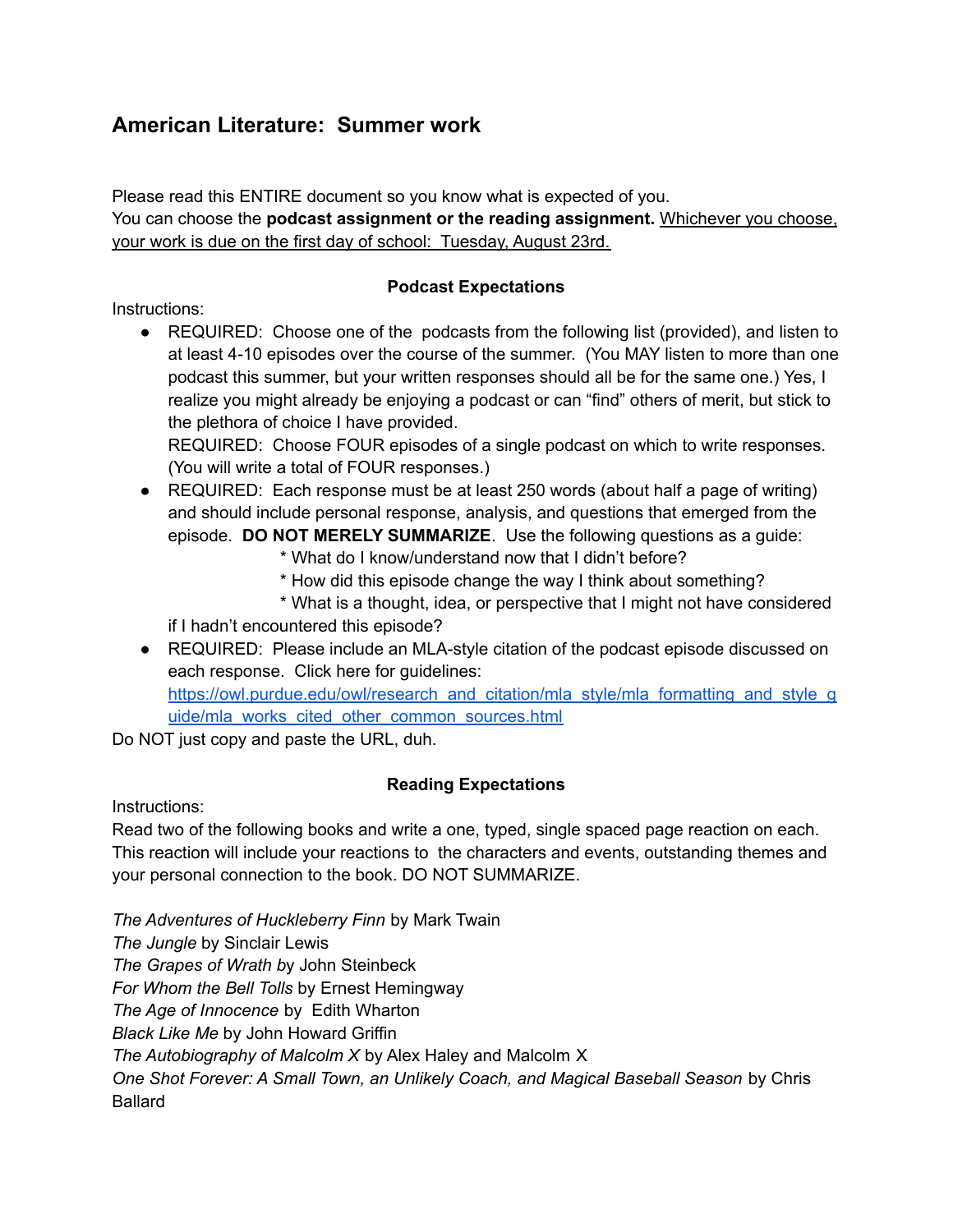# **American Literature: Summer work**

Please read this ENTIRE document so you know what is expected of you. You can choose the **podcast assignment or the reading assignment.** Whichever you choose, your work is due on the first day of school: Tuesday, August 23rd.

#### **Podcast Expectations**

Instructions:

• REQUIRED: Choose one of the podcasts from the following list (provided), and listen to at least 4-10 episodes over the course of the summer. (You MAY listen to more than one podcast this summer, but your written responses should all be for the same one.) Yes, I realize you might already be enjoying a podcast or can "find" others of merit, but stick to the plethora of choice I have provided.

REQUIRED: Choose FOUR episodes of a single podcast on which to write responses. (You will write a total of FOUR responses.)

- REQUIRED: Each response must be at least 250 words (about half a page of writing) and should include personal response, analysis, and questions that emerged from the episode. **DO NOT MERELY SUMMARIZE**. Use the following questions as a guide:
	- \* What do I know/understand now that I didn't before?
	- \* How did this episode change the way I think about something?
	- \* What is a thought, idea, or perspective that I might not have considered

if I hadn't encountered this episode?

● REQUIRED: Please include an MLA-style citation of the podcast episode discussed on each response. Click here for guidelines: [https://owl.purdue.edu/owl/research\\_and\\_citation/mla\\_style/mla\\_formatting\\_and\\_style\\_g](https://owl.purdue.edu/owl/research_and_citation/mla_style/mla_formatting_and_style_guide/mla_works_cited_other_common_sources.html) [uide/mla\\_works\\_cited\\_other\\_common\\_sources.html](https://owl.purdue.edu/owl/research_and_citation/mla_style/mla_formatting_and_style_guide/mla_works_cited_other_common_sources.html)

Do NOT just copy and paste the URL, duh.

#### **Reading Expectations**

Instructions:

Read two of the following books and write a one, typed, single spaced page reaction on each. This reaction will include your reactions to the characters and events, outstanding themes and your personal connection to the book. DO NOT SUMMARIZE.

*The Adventures of Huckleberry Finn* by Mark Twain *The Jungle* by Sinclair Lewis *The Grapes of Wrath b*y John Steinbeck *For Whom the Bell Tolls* by Ernest Hemingway *The Age of Innocence* by Edith Wharton *Black Like Me* by John Howard Griffin *The Autobiography of Malcolm X* by Alex Haley and Malcolm X *One Shot Forever: A Small Town, an Unlikely Coach, and Magical Baseball Season* by Chris Ballard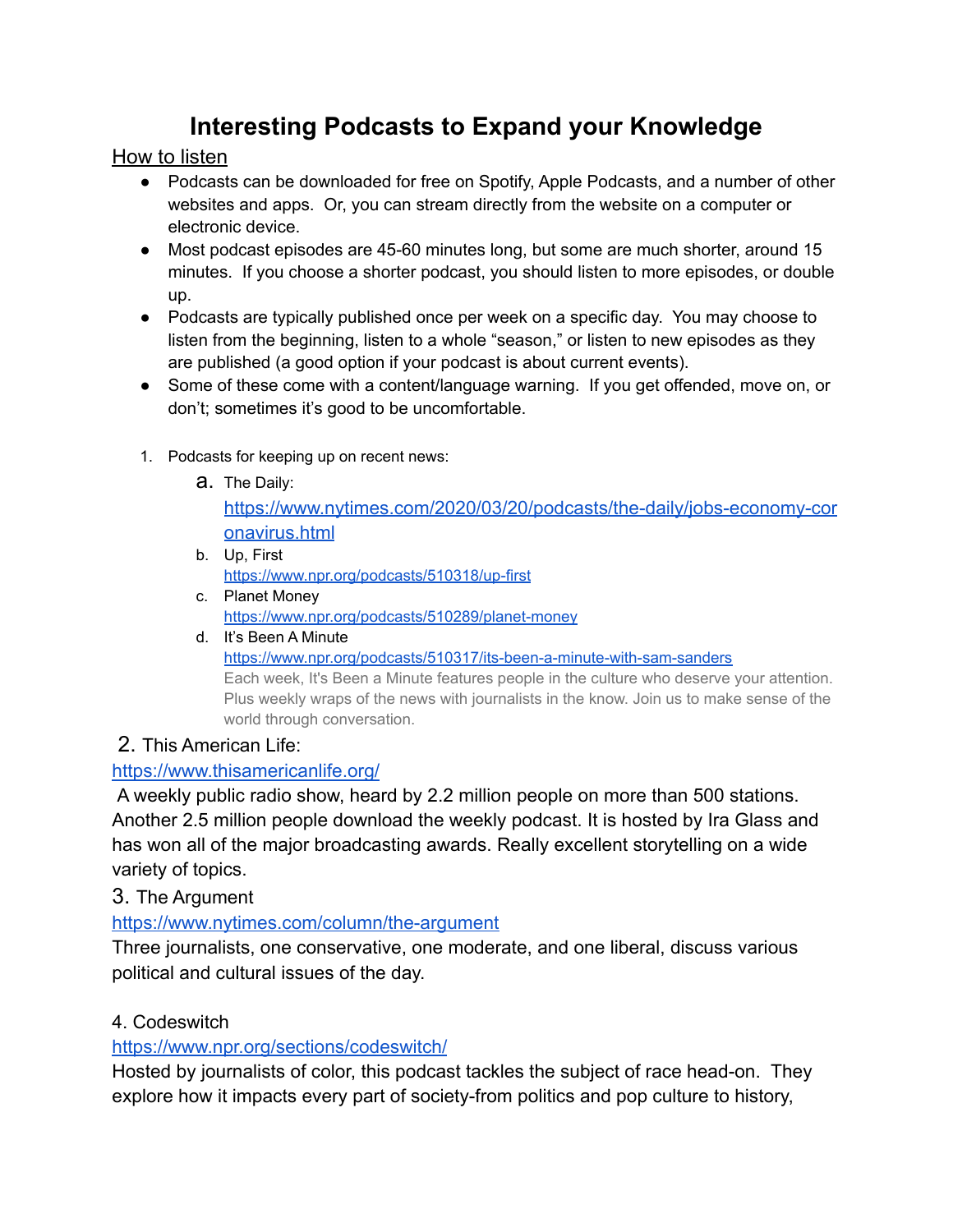# **Interesting Podcasts to Expand your Knowledge**

How to listen

- Podcasts can be downloaded for free on Spotify, Apple Podcasts, and a number of other websites and apps. Or, you can stream directly from the website on a computer or electronic device.
- Most podcast episodes are 45-60 minutes long, but some are much shorter, around 15 minutes. If you choose a shorter podcast, you should listen to more episodes, or double up.
- Podcasts are typically published once per week on a specific day. You may choose to listen from the beginning, listen to a whole "season," or listen to new episodes as they are published (a good option if your podcast is about current events).
- Some of these come with a content/language warning. If you get offended, move on, or don't; sometimes it's good to be uncomfortable.
- 1. Podcasts for keeping up on recent news:
	- a. The Daily:

[https://www.nytimes.com/2020/03/20/podcasts/the-daily/jobs-economy-cor](https://www.nytimes.com/2020/03/20/podcasts/the-daily/jobs-economy-coronavirus.html) [onavirus.html](https://www.nytimes.com/2020/03/20/podcasts/the-daily/jobs-economy-coronavirus.html)

- b. Up, First <https://www.npr.org/podcasts/510318/up-first>
- c. Planet Money <https://www.npr.org/podcasts/510289/planet-money>
- d. It's Been A Minute <https://www.npr.org/podcasts/510317/its-been-a-minute-with-sam-sanders> Each week, It's Been a Minute features people in the culture who deserve your attention. Plus weekly wraps of the news with journalists in the know. Join us to make sense of the world through conversation.

## 2. This American Life:

## <https://www.thisamericanlife.org/>

A weekly public radio show, heard by 2.2 million people on more than 500 stations. Another 2.5 million people download the weekly podcast. It is hosted by Ira Glass and has won all of the major broadcasting awards. Really excellent storytelling on a wide variety of topics.

## 3. The Argument

## <https://www.nytimes.com/column/the-argument>

Three journalists, one conservative, one moderate, and one liberal, discuss various political and cultural issues of the day.

## 4. Codeswitch

## <https://www.npr.org/sections/codeswitch/>

Hosted by journalists of color, this podcast tackles the subject of race head-on. They explore how it impacts every part of society-from politics and pop culture to history,